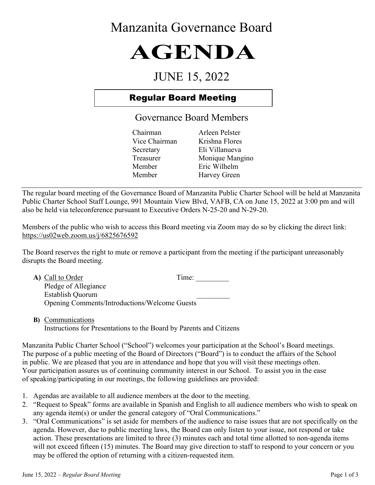## Manzanita Governance Board

# **AGENDA**

## JUNE 15, 2022

### Regular Board Meeting

#### Governance Board Members

Chairman Arleen Pelster Vice Chairman Krishna Flores Secretary Eli Villanueva Treasurer Monique Mangino Member Eric Wilhelm Member Harvey Green

The regular board meeting of the Governance Board of Manzanita Public Charter School will be held at Manzanita Public Charter School Staff Lounge, 991 Mountain View Blvd, VAFB, CA on June 15, 2022 at 3:00 pm and will also be held via teleconference pursuant to Executive Orders N-25-20 and N-29-20.

Members of the public who wish to access this Board meeting via Zoom may do so by clicking the direct link: https://us02web.zoom.us/j/6825676592

The Board reserves the right to mute or remove a participant from the meeting if the participant unreasonably disrupts the Board meeting.

| A) Call to Order                                     | Time: |  |
|------------------------------------------------------|-------|--|
| Pledge of Allegiance                                 |       |  |
| Establish Quorum                                     |       |  |
| <b>Opening Comments/Introductions/Welcome Guests</b> |       |  |

**B)** Communications Instructions for Presentations to the Board by Parents and Citizens

Manzanita Public Charter School ("School") welcomes your participation at the School's Board meetings. The purpose of a public meeting of the Board of Directors ("Board") is to conduct the affairs of the School in public. We are pleased that you are in attendance and hope that you will visit these meetings often. Your participation assures us of continuing community interest in our School. To assist you in the ease of speaking/participating in our meetings, the following guidelines are provided:

- 1. Agendas are available to all audience members at the door to the meeting.
- 2. "Request to Speak" forms are available in Spanish and English to all audience members who wish to speak on any agenda item(s) or under the general category of "Oral Communications."
- 3. "Oral Communications" is set aside for members of the audience to raise issues that are not specifically on the agenda. However, due to public meeting laws, the Board can only listen to your issue, not respond or take action. These presentations are limited to three (3) minutes each and total time allotted to non-agenda items will not exceed fifteen (15) minutes. The Board may give direction to staff to respond to your concern or you may be offered the option of returning with a citizen-requested item.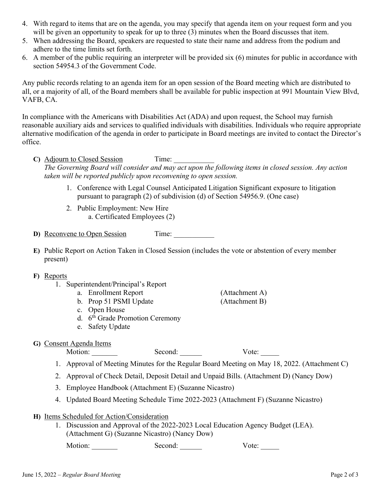- 4. With regard to items that are on the agenda, you may specify that agenda item on your request form and you will be given an opportunity to speak for up to three (3) minutes when the Board discusses that item.
- 5. When addressing the Board, speakers are requested to state their name and address from the podium and adhere to the time limits set forth.
- 6. A member of the public requiring an interpreter will be provided six (6) minutes for public in accordance with section 54954.3 of the Government Code.

Any public records relating to an agenda item for an open session of the Board meeting which are distributed to all, or a majority of all, of the Board members shall be available for public inspection at 991 Mountain View Blvd, VAFB, CA.

In compliance with the Americans with Disabilities Act (ADA) and upon request, the School may furnish reasonable auxiliary aids and services to qualified individuals with disabilities. Individuals who require appropriate alternative modification of the agenda in order to participate in Board meetings are invited to contact the Director's office.

C) Adjourn to Closed Session Time:

*The Governing Board will consider and may act upon the following items in closed session. Any action taken will be reported publicly upon reconvening to open session.*

- 1. Conference with Legal Counsel Anticipated Litigation Significant exposure to litigation pursuant to paragraph (2) of subdivision (d) of Section 54956.9. (One case)
- 2. Public Employment: New Hire a. Certificated Employees (2)

**D)** Reconvene to Open Session Time:

**E)** Public Report on Action Taken in Closed Session (includes the vote or abstention of every member present)

- **F)** Reports
	- 1. Superintendent/Principal's Report
		- a. Enrollment Report (Attachment A)
		- b. Prop 51 PSMI Update (Attachment B)
		- c. Open House
		- c. Open nouse<br>d.  $6<sup>th</sup>$  Grade Promotion Ceremony
		- e. Safety Update
- **G)** Consent Agenda Items

Motion: \_\_\_\_\_\_\_ Second: \_\_\_\_\_\_ Vote: \_\_\_\_\_

- 1. Approval of Meeting Minutes for the Regular Board Meeting on May 18, 2022. (Attachment C)
- 2. Approval of Check Detail, Deposit Detail and Unpaid Bills. (Attachment D) (Nancy Dow)
- 3. Employee Handbook (Attachment E) (Suzanne Nicastro)
- 4. Updated Board Meeting Schedule Time 2022-2023 (Attachment F) (Suzanne Nicastro)
- **H)** Items Scheduled for Action/Consideration
	- 1. Discussion and Approval of the 2022-2023 Local Education Agency Budget (LEA). (Attachment G) (Suzanne Nicastro) (Nancy Dow)

Motion: \_\_\_\_\_\_\_\_ Second: \_\_\_\_\_\_ Vote: \_\_\_\_\_